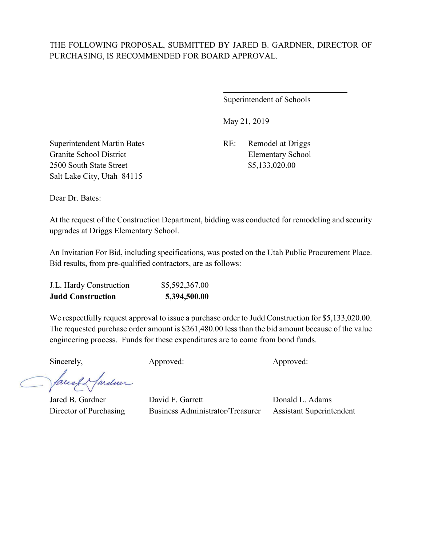Superintendent of Schools

May 21, 2019

Granite School District Elementary School 2500 South State Street \$5,133,020.00 Salt Lake City, Utah 84115

Superintendent Martin Bates RE: Remodel at Driggs

Dear Dr. Bates:

At the request of the Construction Department, bidding was conducted for remodeling and security upgrades at Driggs Elementary School.

An Invitation For Bid, including specifications, was posted on the Utah Public Procurement Place. Bid results, from pre-qualified contractors, are as follows:

| <b>Judd Construction</b> | 5,394,500.00   |
|--------------------------|----------------|
| J.L. Hardy Construction  | \$5,592,367.00 |

We respectfully request approval to issue a purchase order to Judd Construction for \$5,133,020.00. The requested purchase order amount is \$261,480.00 less than the bid amount because of the value engineering process. Funds for these expenditures are to come from bond funds.

Sincerely, Approved: Approved: Approved: Approved:

Marden faced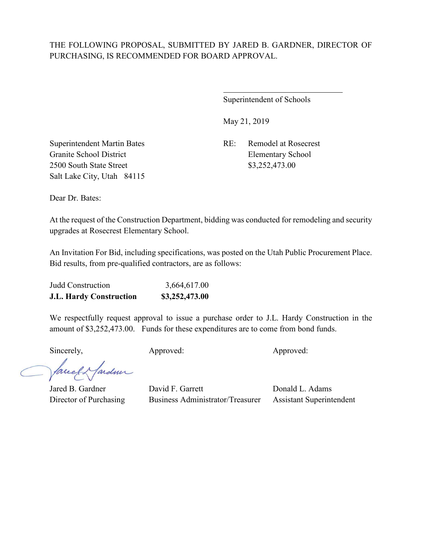$\overline{a}$ 

Superintendent of Schools

May 21, 2019

Granite School District Elementary School 2500 South State Street \$3,252,473.00 Salt Lake City, Utah 84115

Superintendent Martin Bates RE: Remodel at Rosecrest

Dear Dr. Bates:

At the request of the Construction Department, bidding was conducted for remodeling and security upgrades at Rosecrest Elementary School.

An Invitation For Bid, including specifications, was posted on the Utah Public Procurement Place. Bid results, from pre-qualified contractors, are as follows:

| <b>J.L. Hardy Construction</b> | \$3,252,473.00 |
|--------------------------------|----------------|
| <b>Judd Construction</b>       | 3,664,617.00   |

We respectfully request approval to issue a purchase order to J.L. Hardy Construction in the amount of \$3,252,473.00. Funds for these expenditures are to come from bond funds.

Sincerely, Approved: Approved: Approved: Approved:

facely farden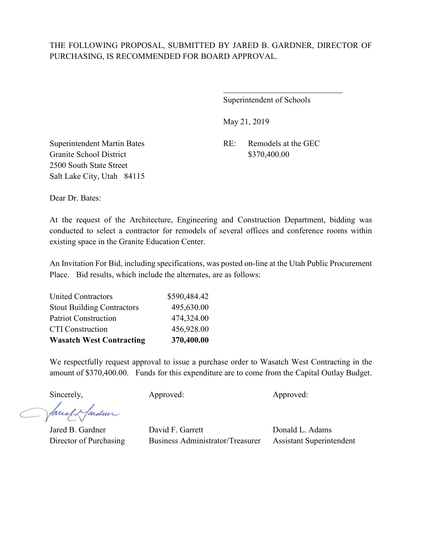$\overline{a}$ 

Superintendent of Schools

May 21, 2019

Granite School District \$370,400.00 2500 South State Street Salt Lake City, Utah 84115

Superintendent Martin Bates RE: Remodels at the GEC

Dear Dr. Bates:

At the request of the Architecture, Engineering and Construction Department, bidding was conducted to select a contractor for remodels of several offices and conference rooms within existing space in the Granite Education Center.

An Invitation For Bid, including specifications, was posted on-line at the Utah Public Procurement Place. Bid results, which include the alternates, are as follows:

| <b>Wasatch West Contracting</b>   | 370,400.00   |
|-----------------------------------|--------------|
| <b>CTI</b> Construction           | 456,928.00   |
| <b>Patriot Construction</b>       | 474,324.00   |
| <b>Stout Building Contractors</b> | 495,630.00   |
| <b>United Contractors</b>         | \$590,484.42 |

We respectfully request approval to issue a purchase order to Wasatch West Contracting in the amount of \$370,400.00. Funds for this expenditure are to come from the Capital Outlay Budget.

Sincerely, Approved: Approved: Approved: Approved:

faceef & fardner